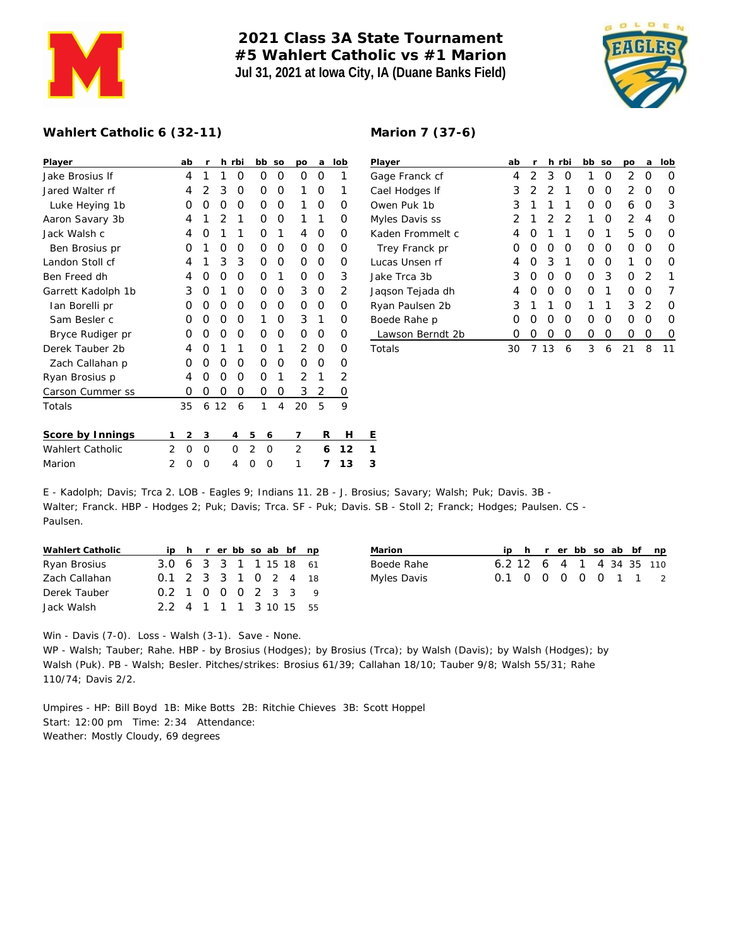

## **2021 Class 3A State Tournament #5 Wahlert Catholic vs #1 Marion Jul 31, 2021 at Iowa City, IA (Duane Banks Field)**

**Marion 7 (37-6)**



## **Wahlert Catholic 6 (32-11)**

| ab     | r              |   |     |                |        | po                                                                                           | a                                                                   | lob | P           |
|--------|----------------|---|-----|----------------|--------|----------------------------------------------------------------------------------------------|---------------------------------------------------------------------|-----|-------------|
| 4      | 1              | 1 | O   |                |        | Ο                                                                                            | Ο                                                                   | 1   | G           |
| 4      | $\overline{2}$ | 3 | Ο   |                |        | 1                                                                                            | Ο                                                                   | 1   | C           |
| O      | Ο              | O | 0   |                |        | 1                                                                                            | O                                                                   | Ο   | C           |
| 4      | 1              | 2 | 1   |                |        | 1                                                                                            | 1                                                                   | Ω   | N           |
| 4      | Ω              | 1 | 1   |                | 1      | 4                                                                                            | O                                                                   | O   | К           |
| O      | 1              | O | Ο   |                |        | 0                                                                                            | Ο                                                                   | O   |             |
| 4      | 1              | 3 | 3   |                |        | Ο                                                                                            | Ο                                                                   | Ο   | L           |
| 4      | O              | O | 0   |                | 1      | Ο                                                                                            | O                                                                   | 3   | J.          |
| 3      | Ο              | 1 | 0   |                |        | 3                                                                                            | Ο                                                                   | 2   | J.          |
| Ο      | Ο              | O | Ο   |                |        | 0                                                                                            | Ο                                                                   | Ο   | R           |
| O      | Ο              | O | Ο   |                |        | 3                                                                                            | 1                                                                   | O   | B           |
| O      | Ο              | O | Ο   |                |        | 0                                                                                            | Ο                                                                   | O   |             |
| 4      | Ο              | 1 | 1   |                | 1      | 2                                                                                            | Ο                                                                   | O   | Τ           |
| Ω      | O              | 0 | 0   |                |        | 0                                                                                            | O                                                                   | O   |             |
| 4      | Ο              | 0 | Ο   |                | 1      | 2                                                                                            | 1                                                                   | 2   |             |
| Ο      | 0              | 0 | 0   |                |        | 3                                                                                            | 2                                                                   | 0   |             |
| 35     | 6              |   | 6   |                |        | 20                                                                                           | 5                                                                   | 9   |             |
| 2<br>1 | 3              |   | 4   | 5              |        | 7                                                                                            |                                                                     | Н   | Ε           |
| 2<br>O | O              |   | O   | $\overline{2}$ |        | 2                                                                                            |                                                                     | 12  | 1           |
| 2<br>Ω | Ω              |   | 4   | Ω              |        | 1                                                                                            |                                                                     | 13  | 3           |
|        |                |   | -12 | h rbi          | 1<br>1 | bb<br>Ο<br>Ο<br>0<br>Ο<br>0<br>0<br>0<br>0<br>0<br>Ο<br>Ο<br>0<br>0<br>0<br>0<br>6<br>O<br>O | SO<br>Ο<br>Ο<br>Ο<br>Ω<br>Ο<br>Ο<br>Ο<br>Ο<br>Ω<br>Ο<br>Ω<br>Ο<br>4 |     | R<br>6<br>7 |

| Player           | ab               | r |               | h rbi    | bb | SO | po            | a             | lob |
|------------------|------------------|---|---------------|----------|----|----|---------------|---------------|-----|
| Gage Franck cf   | 4                | 2 | 3             | O        | 1  | Ω  | 2             | Ω             | Ω   |
| Cael Hodges If   | 3                | 2 | $\mathcal{P}$ | 1        | Ω  | Ω  | $\mathcal{P}$ | Ω             | Ω   |
| Owen Puk 1b      | 3                | 1 | 1             | 1        | Ο  | O  | 6             | Ω             | 3   |
| Myles Davis ss   | 2                | 1 | 2             | 2        | 1  | Ω  | 2             | 4             | Ω   |
| Kaden Frommelt c | 4                | O | 1             | 1        | Ω  | 1  | 5             | Ω             | Ω   |
| Trey Franck pr   | Ω                | Ω | O             | O        | Ω  | Ω  | Ω             | Ω             | O   |
| Lucas Unsen rf   | 4                | O | 3             | 1        | Ω  | Ω  | 1             | Ω             | Ω   |
| Jake Trca 3b     | 3                | O | O             | O        | Ω  | 3  | Ω             | $\mathcal{P}$ |     |
| Jaqson Tejada dh | 4                | Ω | Ω             | ∩        | Ω  | 1  | Ω             | Ω             |     |
| Ryan Paulsen 2b  | 3                | 1 | 1             | $\Omega$ | 1  | 1  | 3             | 2             | Ω   |
| Boede Rahe p     | Ω                | O | O             | O        | Ω  | Ω  | Ω             | Ω             | O   |
| Lawson Berndt 2b | $\left( \right)$ | Ω | Ω             | Ο        | Ω  | O  | Ω             | Ω             | 0   |
| Totals           | 30               |   | 13            | 6        | 3  | 6  | 21            | 8             | 11  |

E - Kadolph; Davis; Trca 2. LOB - Eagles 9; Indians 11. 2B - J. Brosius; Savary; Walsh; Puk; Davis. 3B - Walter; Franck. HBP - Hodges 2; Puk; Davis; Trca. SF - Puk; Davis. SB - Stoll 2; Franck; Hodges; Paulsen. CS - Paulsen.

| Wahlert Catholic |                        |  |  |  | ip h r er bb so ab bf np |  |
|------------------|------------------------|--|--|--|--------------------------|--|
| Ryan Brosius     | 3.0 6 3 3 1 1 15 18 61 |  |  |  |                          |  |
| Zach Callahan    | 0.1 2 3 3 1 0 2 4 18   |  |  |  |                          |  |
| Derek Tauber     | 0.2 1 0 0 0 2 3 3 9    |  |  |  |                          |  |
| Jack Walsh       | 2.2 4 1 1 1 3 10 15 55 |  |  |  |                          |  |

| Marion      |  |  |  |  | ip h r er bb so ab bf np |
|-------------|--|--|--|--|--------------------------|
| Boede Rahe  |  |  |  |  | 6.2 12 6 4 1 4 34 35 110 |
| Myles Davis |  |  |  |  | 0.1 0 0 0 0 0 1 1 2      |

Win - Davis (7-0). Loss - Walsh (3-1). Save - None.

WP - Walsh; Tauber; Rahe. HBP - by Brosius (Hodges); by Brosius (Trca); by Walsh (Davis); by Walsh (Hodges); by Walsh (Puk). PB - Walsh; Besler. Pitches/strikes: Brosius 61/39; Callahan 18/10; Tauber 9/8; Walsh 55/31; Rahe 110/74; Davis 2/2.

Umpires - HP: Bill Boyd 1B: Mike Botts 2B: Ritchie Chieves 3B: Scott Hoppel Start: 12:00 pm Time: 2:34 Attendance: Weather: Mostly Cloudy, 69 degrees